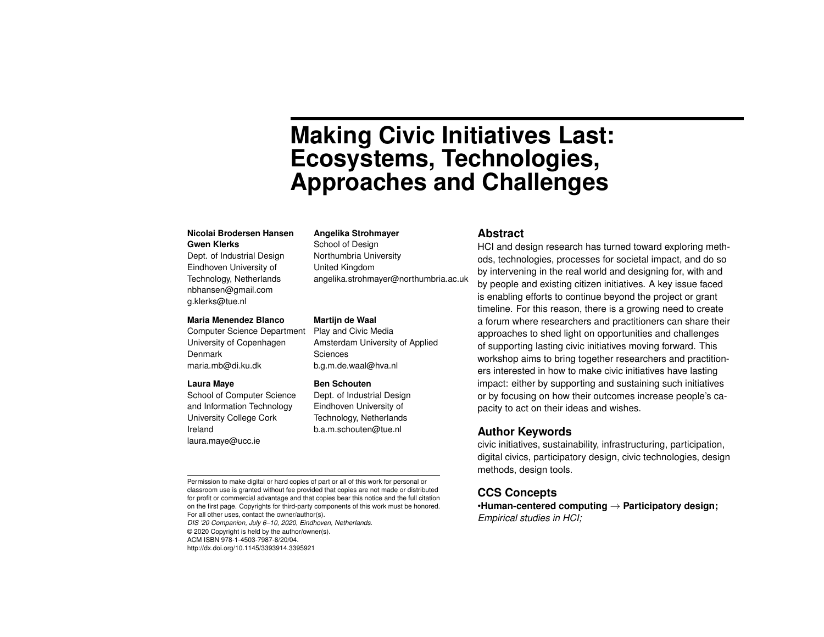# **Making Civic Initiatives Last: Ecosystems, Technologies, Approaches and Challenges**

#### **Nicolai Brodersen Hansen Gwen Klerks**

Dept. of Industrial Design Eindhoven University of Technology, Netherlands nbhansen@gmail.com g.klerks@tue.nl

#### **Maria Menendez Blanco**

Computer Science Department University of Copenhagen Denmark maria.mb@di.ku.dk

#### **Laura Maye**

School of Computer Science and Information Technology University College Cork Ireland laura.maye@ucc.ie

#### **Angelika Strohmayer**

School of Design Northumbria University United Kingdom angelika.strohmayer@northumbria.ac.uk

#### **Martijn de Waal**

Play and Civic Media Amsterdam University of Applied Sciences b.g.m.de.waal@hva.nl

#### **Ben Schouten**

Dept. of Industrial Design Eindhoven University of Technology, Netherlands b.a.m.schouten@tue.nl

#### **Abstract**

HCI and design research has turned toward exploring methods, technologies, processes for societal impact, and do so by intervening in the real world and designing for, with and by people and existing citizen initiatives. A key issue faced is enabling efforts to continue beyond the project or grant timeline. For this reason, there is a growing need to create a forum where researchers and practitioners can share their approaches to shed light on opportunities and challenges of supporting lasting civic initiatives moving forward. This workshop aims to bring together researchers and practitioners interested in how to make civic initiatives have lasting impact: either by supporting and sustaining such initiatives or by focusing on how their outcomes increase people's capacity to act on their ideas and wishes.

#### **Author Keywords**

civic initiatives, sustainability, infrastructuring, participation, digital civics, participatory design, civic technologies, design methods, design tools.

## **CCS Concepts**

•**Human-centered computing** → **Participatory design;** *Empirical studies in HCI;*

Permission to make digital or hard copies of part or all of this work for personal or classroom use is granted without fee provided that copies are not made or distributed for profit or commercial advantage and that copies bear this notice and the full citation on the first page. Copyrights for third-party components of this work must be honored. For all other uses, contact the owner/author(s).

*DIS '20 Companion, July 6–10, 2020, Eindhoven, Netherlands.* © 2020 Copyright is held by the author/owner(s). ACM ISBN 978-1-4503-7987-8/20/04. http://dx.doi.org/10.1145/3393914.3395921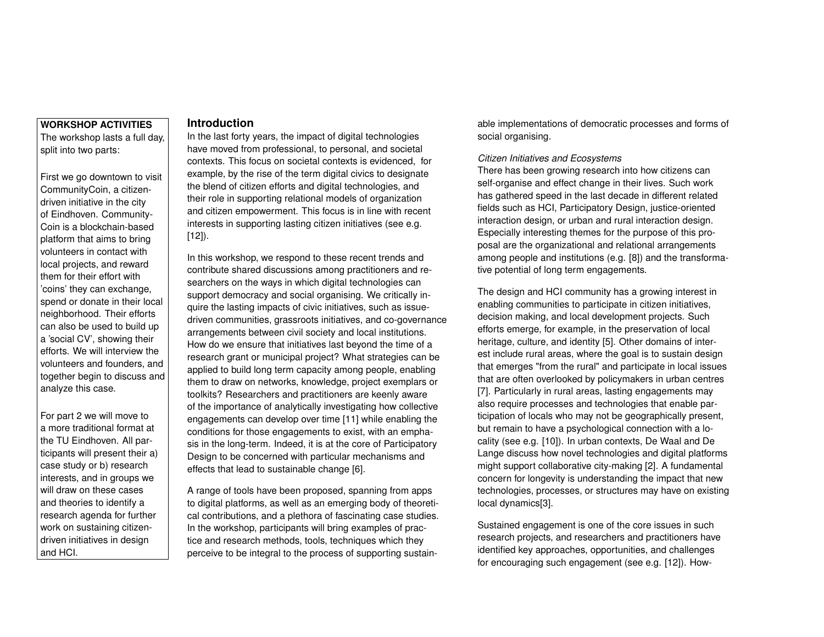## **WORKSHOP ACTIVITIES** The workshop lasts a full day, split into two parts:

First we go downtown to visit CommunityCoin, a citizendriven initiative in the city of Eindhoven. Community-Coin is a blockchain-based platform that aims to bring volunteers in contact with local projects, and reward them for their effort with 'coins' they can exchange, spend or donate in their local neighborhood. Their efforts can also be used to build up a 'social CV', showing their efforts. We will interview the volunteers and founders, and together begin to discuss and analyze this case.

For part 2 we will move to a more traditional format at the TU Eindhoven. All participants will present their a) case study or b) research interests, and in groups we will draw on these cases and theories to identify a research agenda for further work on sustaining citizendriven initiatives in design and HCI.

# **Introduction**

In the last forty years, the impact of digital technologies have moved from professional, to personal, and societal contexts. This focus on societal contexts is evidenced, for example, by the rise of the term digital civics to designate the blend of citizen efforts and digital technologies, and their role in supporting relational models of organization and citizen empowerment. This focus is in line with recent interests in supporting lasting citizen initiatives (see e.g. [\[12\]](#page-3-0)).

In this workshop, we respond to these recent trends and contribute shared discussions among practitioners and researchers on the ways in which digital technologies can support democracy and social organising. We critically inquire the lasting impacts of civic initiatives, such as issuedriven communities, grassroots initiatives, and co-governance arrangements between civil society and local institutions. How do we ensure that initiatives last beyond the time of a research grant or municipal project? What strategies can be applied to build long term capacity among people, enabling them to draw on networks, knowledge, project exemplars or toolkits? Researchers and practitioners are keenly aware of the importance of analytically investigating how collective engagements can develop over time [\[11\]](#page-3-1) while enabling the conditions for those engagements to exist, with an emphasis in the long-term. Indeed, it is at the core of Participatory Design to be concerned with particular mechanisms and effects that lead to sustainable change [\[6\]](#page-3-2).

A range of tools have been proposed, spanning from apps to digital platforms, as well as an emerging body of theoretical contributions, and a plethora of fascinating case studies. In the workshop, participants will bring examples of practice and research methods, tools, techniques which they perceive to be integral to the process of supporting sustainable implementations of democratic processes and forms of social organising.

#### *Citizen Initiatives and Ecosystems*

There has been growing research into how citizens can self-organise and effect change in their lives. Such work has gathered speed in the last decade in different related fields such as HCI, Participatory Design, justice-oriented interaction design, or urban and rural interaction design. Especially interesting themes for the purpose of this proposal are the organizational and relational arrangements among people and institutions (e.g. [\[8\]](#page-3-3)) and the transformative potential of long term engagements.

The design and HCI community has a growing interest in enabling communities to participate in citizen initiatives, decision making, and local development projects. Such efforts emerge, for example, in the preservation of local heritage, culture, and identity [\[5\]](#page-3-4). Other domains of interest include rural areas, where the goal is to sustain design that emerges "from the rural" and participate in local issues that are often overlooked by policymakers in urban centres [\[7\]](#page-3-5). Particularly in rural areas, lasting engagements may also require processes and technologies that enable participation of locals who may not be geographically present, but remain to have a psychological connection with a locality (see e.g. [\[10\]](#page-3-6)). In urban contexts, De Waal and De Lange discuss how novel technologies and digital platforms might support collaborative city-making [\[2\]](#page-2-0). A fundamental concern for longevity is understanding the impact that new technologies, processes, or structures may have on existing local dynamics[\[3\]](#page-3-7).

Sustained engagement is one of the core issues in such research projects, and researchers and practitioners have identified key approaches, opportunities, and challenges for encouraging such engagement (see e.g. [\[12\]](#page-3-0)). How-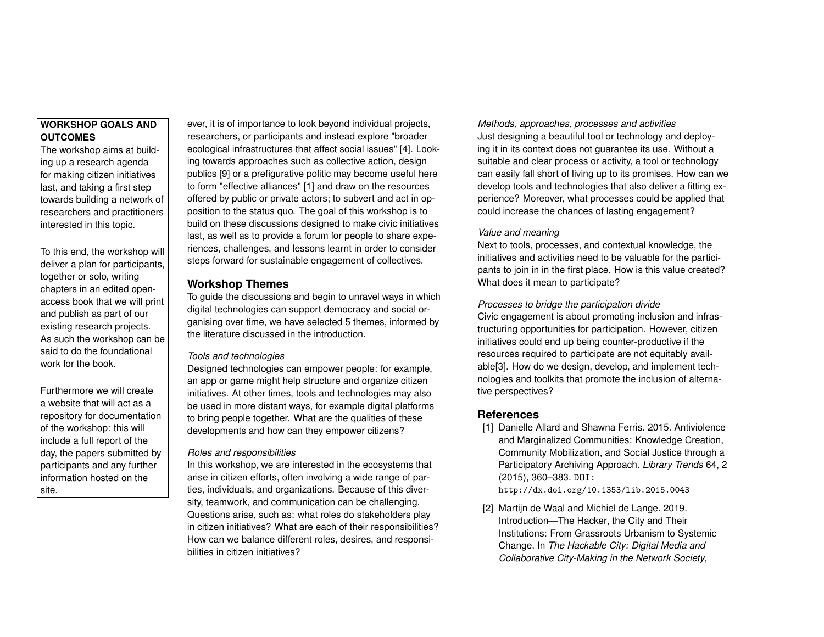# **WORKSHOP GOALS AND OUTCOMES**

The workshop aims at building up a research agenda for making citizen initiatives last, and taking a first step towards building a network of researchers and practitioners interested in this topic.

To this end, the workshop will deliver a plan for participants, together or solo, writing chapters in an edited openaccess book that we will print and publish as part of our existing research projects. As such the workshop can be said to do the foundational work for the book.

Furthermore we will create a website that will act as a repository for documentation of the workshop: this will include a full report of the day, the papers submitted by participants and any further information hosted on the site.

ever, it is of importance to look beyond individual projects, researchers, or participants and instead explore "broader ecological infrastructures that affect social issues" [\[4\]](#page-3-8). Looking towards approaches such as collective action, design publics [\[9\]](#page-3-9) or a prefigurative politic may become useful here to form "effective alliances" [\[1\]](#page-2-1) and draw on the resources offered by public or private actors; to subvert and act in opposition to the status quo. The goal of this workshop is to build on these discussions designed to make civic initiatives last, as well as to provide a forum for people to share experiences, challenges, and lessons learnt in order to consider steps forward for sustainable engagement of collectives.

# **Workshop Themes**

To guide the discussions and begin to unravel ways in which digital technologies can support democracy and social organising over time, we have selected 5 themes, informed by the literature discussed in the introduction.

## *Tools and technologies*

Designed technologies can empower people: for example, an app or game might help structure and organize citizen initiatives. At other times, tools and technologies may also be used in more distant ways, for example digital platforms to bring people together. What are the qualities of these developments and how can they empower citizens?

### *Roles and responsibilities*

In this workshop, we are interested in the ecosystems that arise in citizen efforts, often involving a wide range of parties, individuals, and organizations. Because of this diversity, teamwork, and communication can be challenging. Questions arise, such as: what roles do stakeholders play in citizen initiatives? What are each of their responsibilities? How can we balance different roles, desires, and responsibilities in citizen initiatives?

*Methods, approaches, processes and activities* Just designing a beautiful tool or technology and deploying it in its context does not guarantee its use. Without a suitable and clear process or activity, a tool or technology can easily fall short of living up to its promises. How can we develop tools and technologies that also deliver a fitting experience? Moreover, what processes could be applied that could increase the chances of lasting engagement?

## *Value and meaning*

Next to tools, processes, and contextual knowledge, the initiatives and activities need to be valuable for the participants to join in in the first place. How is this value created? What does it mean to participate?

## *Processes to bridge the participation divide*

Civic engagement is about promoting inclusion and infrastructuring opportunities for participation. However, citizen initiatives could end up being counter-productive if the resources required to participate are not equitably available[\[3\]](#page-3-7). How do we design, develop, and implement technologies and toolkits that promote the inclusion of alternative perspectives?

# **References**

<span id="page-2-1"></span>[1] Danielle Allard and Shawna Ferris. 2015. Antiviolence and Marginalized Communities: Knowledge Creation, Community Mobilization, and Social Justice through a Participatory Archiving Approach. *Library Trends* 64, 2 (2015), 360–383. DOI:

<http://dx.doi.org/10.1353/lib.2015.0043>

<span id="page-2-0"></span>[2] Martijn de Waal and Michiel de Lange. 2019. Introduction—The Hacker, the City and Their Institutions: From Grassroots Urbanism to Systemic Change. In *The Hackable City: Digital Media and Collaborative City-Making in the Network Society*,